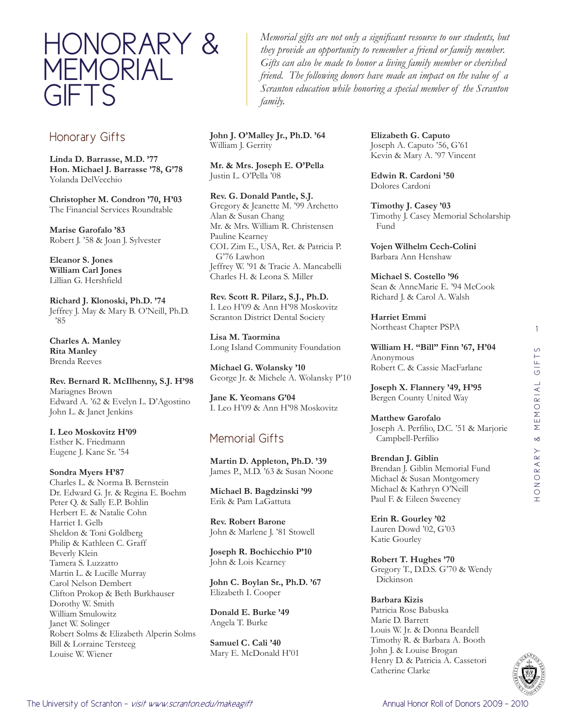

## Honorary Gifts

**Linda D. Barrasse, M.D. '77 Hon. Michael J. Barrasse '78, G'78** Yolanda DelVecchio

**Christopher M. Condron '70, H'03** The Financial Services Roundtable

**Marise Garofalo '83** Robert J. '58 & Joan J. Sylvester

**Eleanor S. Jones William Carl Jones**  Lillian G. Hershfield

**Richard J. Klonoski, Ph.D. '74** Jeffrey J. May & Mary B. O'Neill, Ph.D. '85

**Charles A. Manley Rita Manley**  Brenda Reeves

### **Rev. Bernard R. McIlhenny, S.J. H'98** Mariagnes Brown

Edward A. '62 & Evelyn L. D'Agostino John L. & Janet Jenkins

**I. Leo Moskovitz H'09** Esther K. Friedmann Eugene J. Kane Sr. '54

**Sondra Myers H'87** Charles L. & Norma B. Bernstein Dr. Edward G. Jr. & Regina E. Boehm Peter Q. & Sally E.P. Bohlin Herbert E. & Natalie Cohn Harriet I. Gelb Sheldon & Toni Goldberg Philip & Kathleen C. Graff Beverly Klein Tamera S. Luzzatto Martin L. & Lucille Murray Carol Nelson Dembert Clifton Prokop & Beth Burkhauser Dorothy W. Smith William Smulowitz Janet W. Solinger Robert Solms & Elizabeth Alperin Solms Bill & Lorraine Tersteeg Louise W. Wiener

*Memorial gifts are not only a significant resource to our students, but they provide an opportunity to remember a friend or family member. Gifts can also be made to honor a living family member or cherished friend. The following donors have made an impact on the value of a Scranton education while honoring a special member of the Scranton family.*

**John J. O'Malley Jr., Ph.D. '64** William J. Gerrity

**Mr. & Mrs. Joseph E. O'Pella**  Justin L. O'Pella '08

**Rev. G. Donald Pantle, S.J.**  Gregory & Jeanette M. '99 Archetto Alan & Susan Chang Mr. & Mrs. William R. Christensen Pauline Kearney COL Zim E., USA, Ret. & Patricia P. G'76 Lawhon Jeffrey W. '91 & Tracie A. Mancabelli Charles H. & Leona S. Miller

**Rev. Scott R. Pilarz, S.J., Ph.D.**  I. Leo H'09 & Ann H'98 Moskovitz Scranton District Dental Society

**Lisa M. Taormina**  Long Island Community Foundation

**Michael G. Wolansky '10** George Jr. & Michele A. Wolansky P'10

**Jane K. Yeomans G'04** I. Leo H'09 & Ann H'98 Moskovitz

# Memorial Gifts

**Martin D. Appleton, Ph.D. '39** James P., M.D. '63 & Susan Noone

**Michael B. Bagdzinski '99** Erik & Pam LaGattuta

**Rev. Robert Barone** John & Marlene J. '81 Stowell

**Joseph R. Bochicchio P'10** John & Lois Kearney

**John C. Boylan Sr., Ph.D. '67** Elizabeth I. Cooper

**Donald E. Burke '49** Angela T. Burke

**Samuel C. Cali '40** Mary E. McDonald H'01 **Elizabeth G. Caputo** Joseph A. Caputo '56, G'61 Kevin & Mary A. '97 Vincent

**Edwin R. Cardoni '50** Dolores Cardoni

**Timothy J. Casey '03** Timothy J. Casey Memorial Scholarship Fund

**Vojen Wilhelm Cech-Colini** Barbara Ann Henshaw

**Michael S. Costello '96** Sean & AnneMarie E. '94 McCook Richard J. & Carol A. Walsh

**Harriet Emmi** Northeast Chapter PSPA

**William H. "Bill" Finn '67, H'04** Anonymous Robert C. & Cassie MacFarlane

**Joseph X. Flannery '49, H'95** Bergen County United Way

**Matthew Garofalo** Joseph A. Perfilio, D.C. '51 & Marjorie Campbell-Perfilio

**Brendan J. Giblin** Brendan J. Giblin Memorial Fund Michael & Susan Montgomery Michael & Kathryn O'Neill Paul F. & Eileen Sweeney

**Erin R. Gourley '02** Lauren Dowd '02, G'03 Katie Gourley

**Robert T. Hughes '70** Gregory T., D.D.S. G'70 & Wendy Dickinson

### **Barbara Kizis**

Patricia Rose Babuska Marie D. Barrett Louis W. Jr. & Donna Beardell Timothy R. & Barbara A. Booth John J. & Louise Brogan Henry D. & Patricia A. Cassetori Catherine Clarke



1